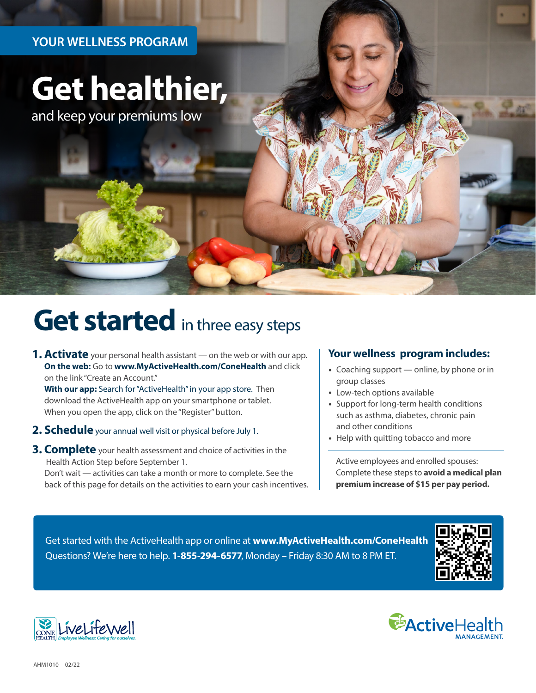### **YOUR WELLNESS PROGRAM**

# **Get healthier,**

and keep your premiums low

## **Get started** in three easy steps

**1. Activate** your personal health assistant — on the web or with our app. **On the web:** Go to **[www.MyActiveHealth.com/ConeHealth](http://www.MyActiveHealth.com/ConeHealth)** and click on the link "Create an Account."

**With our app:** Search for "ActiveHealth" in your app store. Then download the ActiveHealth app on your smartphone or tablet. When you open the app, click on the "Register" button.

- **2. Schedule** your annual well visit or physical before July 1.
- **3. Complete** your health assessment and choice of activities in the Health Action Step before September 1.

Don't wait — activities can take a month or more to complete. See the back of this page for details on the activities to earn your cash incentives.

#### **Your wellness program includes:**

- ∙ Coaching support online, by phone or in group classes
- ∙ Low-tech options available
- ∙ Support for long-term health conditions such as asthma, diabetes, chronic pain and other conditions
- ∙ Help with quitting tobacco and more

Active employees and enrolled spouses: Complete these steps to **avoid a medical plan premium increase of \$15 per pay period.** 

Get started with the ActiveHealth app or online at **[www.MyActiveHealth.com/ConeHealth](http://www.MyActiveHealth.com/ConeHealth)** Questions? We're here to help. **1-855-294-6577**, Monday – Friday 8:30 AM to 8 PM ET.